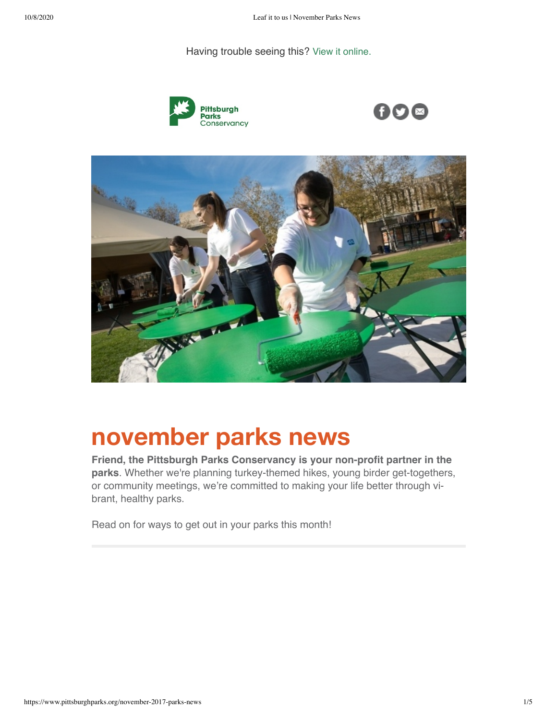#### Having trouble seeing this? [View it online.](https://www.pittsburghparks.org/november-2017-parks-news?ecid=ACsprvsttl_4S9s2KES6j65gDFYjZxW1VSKYYb6ldLSArFSjMJgF5AB5VeNV7_EuYD2K9bmlOhE-&utm_source=hs_email&utm_medium=email&_hsenc=p2ANqtz-8Eo1tcLouKRfv93wUDLuv4TetCRyJ7NI7Mn3KPEfnZzyru31V8P76VHUT-igIVKL28IBGjx1zq140ATproyOxBoKZjimhAkgE2bQhGuLDe0YieHso)







# **november parks news**

**Friend, the Pittsburgh Parks Conservancy is your non-profit partner in the parks**. Whether we're planning turkey-themed hikes, young birder get-togethers, or community meetings, we're committed to making your life better through vi‐ brant, healthy parks.

Read on for ways to get out in your parks this month!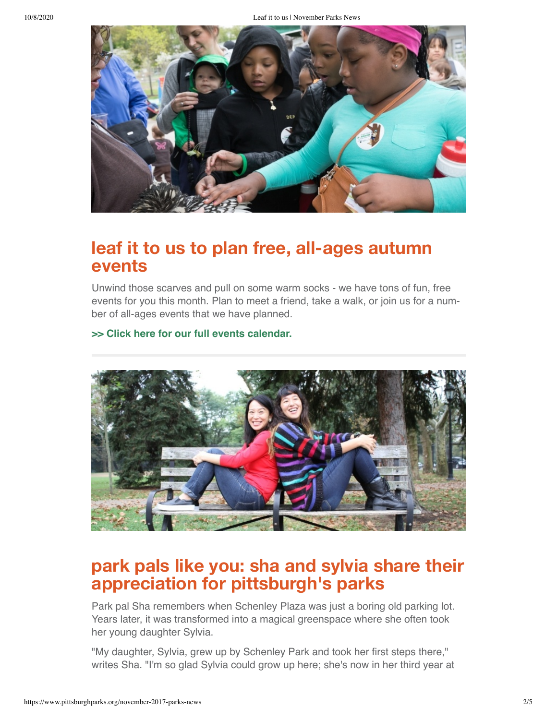

### **leaf it to us to plan free, all-ages autumn events**

Unwind those scarves and pull on some warm socks - we have tons of fun, free events for you this month. Plan to meet a friend, take a walk, or join us for a num‐ ber of all-ages events that we have planned.

#### **[>> Click here for our full events calendar.](https://www.pittsburghparks.org/park-events?utm_source=hs_email&utm_medium=email&_hsenc=p2ANqtz-8Eo1tcLouKRfv93wUDLuv4TetCRyJ7NI7Mn3KPEfnZzyru31V8P76VHUT-igIVKL28IBGjx1zq140ATproyOxBoKZjimhAkgE2bQhGuLDe0YieHso)**



## **park pals like you: sha and sylvia share their appreciation for pittsburgh's parks**

Park pal Sha remembers when Schenley Plaza was just a boring old parking lot. Years later, it was transformed into a magical greenspace where she often took her young daughter Sylvia.

"My daughter, Sylvia, grew up by Schenley Park and took her first steps there," writes Sha. "I'm so glad Sylvia could grow up here; she's now in her third year at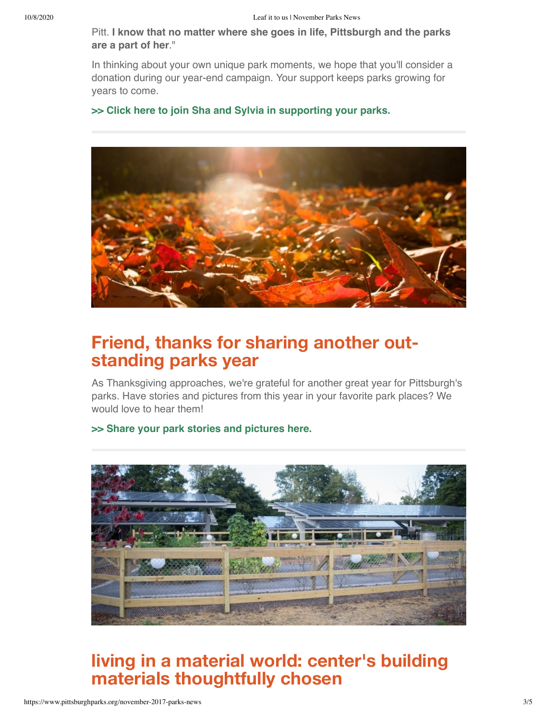Pitt. **I know that no matter where she goes in life, Pittsburgh and the parks are a part of her**."

In thinking about your own unique park moments, we hope that you'll consider a donation during our year-end campaign. Your support keeps parks growing for years to come.

### **[>> Click here to join Sha and Sylvia in supporting your parks.](https://www.pittsburghparks.org/donate-2017?utm_source=hs_email&utm_medium=email&_hsenc=p2ANqtz-8Eo1tcLouKRfv93wUDLuv4TetCRyJ7NI7Mn3KPEfnZzyru31V8P76VHUT-igIVKL28IBGjx1zq140ATproyOxBoKZjimhAkgE2bQhGuLDe0YieHso)**



# **Friend, thanks for sharing another out‐ standing parks year**

As Thanksgiving approaches, we're grateful for another great year for Pittsburgh's parks. Have stories and pictures from this year in your favorite park places? We would love to hear them!

#### **[>> Share your park stories and pictures here.](https://www.pittsburghparks.org/share-park-story?utm_source=hs_email&utm_medium=email&_hsenc=p2ANqtz-8Eo1tcLouKRfv93wUDLuv4TetCRyJ7NI7Mn3KPEfnZzyru31V8P76VHUT-igIVKL28IBGjx1zq140ATproyOxBoKZjimhAkgE2bQhGuLDe0YieHso)**



# **living in a material world: center's building materials thoughtfully chosen**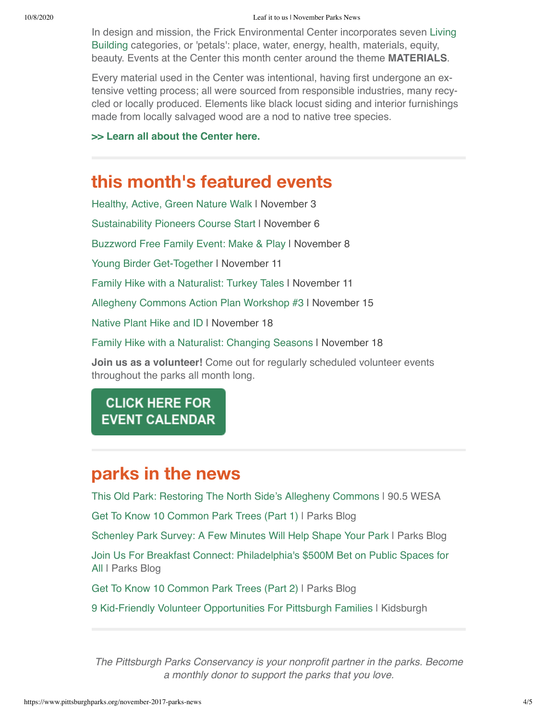[In design and mission, the Frick Environmental Center incorporates seven Living](https://living-future.org/lbc/?utm_source=hs_email&utm_medium=email&_hsenc=p2ANqtz-8Eo1tcLouKRfv93wUDLuv4TetCRyJ7NI7Mn3KPEfnZzyru31V8P76VHUT-igIVKL28IBGjx1zq140ATproyOxBoKZjimhAkgE2bQhGuLDe0YieHso) Building categories, or 'petals': place, water, energy, health, materials, equity, beauty. Events at the Center this month center around the theme **MATERIALS**.

Every material used in the Center was intentional, having first undergone an ex‐ tensive vetting process; all were sourced from responsible industries, many recy‐ cled or locally produced. Elements like black locust siding and interior furnishings made from locally salvaged wood are a nod to native tree species.

### **[>> Learn all about the Center here.](https://www.pittsburghparks.org/frick-environmental-center-building?utm_source=hs_email&utm_medium=email&_hsenc=p2ANqtz-8Eo1tcLouKRfv93wUDLuv4TetCRyJ7NI7Mn3KPEfnZzyru31V8P76VHUT-igIVKL28IBGjx1zq140ATproyOxBoKZjimhAkgE2bQhGuLDe0YieHso)**

### **this month's featured events**

[Healthy, Active, Green Nature Walk](https://embed.showclix.com/event/healthy-active-and-green-nature-walk24559752315232?utm_source=hs_email&utm_medium=email&_hsenc=p2ANqtz-8Eo1tcLouKRfv93wUDLuv4TetCRyJ7NI7Mn3KPEfnZzyru31V8P76VHUT-igIVKL28IBGjx1zq140ATproyOxBoKZjimhAkgE2bQhGuLDe0YieHso) | November 3 [Sustainability Pioneers Course Start](https://www.showclix.com/event/sustainability-pioneers-2017?utm_source=hs_email&utm_medium=email&_hsenc=p2ANqtz-8Eo1tcLouKRfv93wUDLuv4TetCRyJ7NI7Mn3KPEfnZzyru31V8P76VHUT-igIVKL28IBGjx1zq140ATproyOxBoKZjimhAkgE2bQhGuLDe0YieHso) | November 6 [Buzzword Free Family Event: Make & Play](https://www.showclix.com/event/buzzword-nov-2017?utm_source=hs_email&utm_medium=email&_hsenc=p2ANqtz-8Eo1tcLouKRfv93wUDLuv4TetCRyJ7NI7Mn3KPEfnZzyru31V8P76VHUT-igIVKL28IBGjx1zq140ATproyOxBoKZjimhAkgE2bQhGuLDe0YieHso) | November 8 [Young Birder Get-Together](https://embed.showclix.com/event/birder-beginner-2017?utm_source=hs_email&utm_medium=email&_hsenc=p2ANqtz-8Eo1tcLouKRfv93wUDLuv4TetCRyJ7NI7Mn3KPEfnZzyru31V8P76VHUT-igIVKL28IBGjx1zq140ATproyOxBoKZjimhAkgE2bQhGuLDe0YieHso) I November 11 [Family Hike with a Naturalist: Turkey Tales](https://embed.showclix.com/event/turkey-tales-nov-2017?utm_source=hs_email&utm_medium=email&_hsenc=p2ANqtz-8Eo1tcLouKRfv93wUDLuv4TetCRyJ7NI7Mn3KPEfnZzyru31V8P76VHUT-igIVKL28IBGjx1zq140ATproyOxBoKZjimhAkgE2bQhGuLDe0YieHso) | November 11 [Allegheny Commons Action Plan Workshop #3](https://embed.showclix.com/event/allegheny-commons-action-plan-workshop-179568935800605?utm_source=hs_email&utm_medium=email&_hsenc=p2ANqtz-8Eo1tcLouKRfv93wUDLuv4TetCRyJ7NI7Mn3KPEfnZzyru31V8P76VHUT-igIVKL28IBGjx1zq140ATproyOxBoKZjimhAkgE2bQhGuLDe0YieHso) | November 15 [Native Plant Hike and ID](https://embed.showclix.com/event/urban-ecosteward-plant-hike?utm_source=hs_email&utm_medium=email&_hsenc=p2ANqtz-8Eo1tcLouKRfv93wUDLuv4TetCRyJ7NI7Mn3KPEfnZzyru31V8P76VHUT-igIVKL28IBGjx1zq140ATproyOxBoKZjimhAkgE2bQhGuLDe0YieHso) I November 18 [Family Hike with a Naturalist: Changing Seasons](https://embed.showclix.com/event/seasons-hike-2017?utm_source=hs_email&utm_medium=email&_hsenc=p2ANqtz-8Eo1tcLouKRfv93wUDLuv4TetCRyJ7NI7Mn3KPEfnZzyru31V8P76VHUT-igIVKL28IBGjx1zq140ATproyOxBoKZjimhAkgE2bQhGuLDe0YieHso) | November 18 **Join us as a volunteer!** Come out for regularly scheduled volunteer events

# throughout the parks all month long.

### **CLICK HERE FOR EVENT CALENDAR**

# **parks in the news**

[This Old Park: Restoring The North Side's Allegheny Commons](http://wesa.fm/post/old-park-restoring-north-side-s-allegheny-commons?utm_source=hs_email&utm_medium=email&_hsenc=p2ANqtz-8Eo1tcLouKRfv93wUDLuv4TetCRyJ7NI7Mn3KPEfnZzyru31V8P76VHUT-igIVKL28IBGjx1zq140ATproyOxBoKZjimhAkgE2bQhGuLDe0YieHso#stream/0) | 90.5 WESA

[Get To Know 10 Common Park Trees \(Part 1\)](https://www.pittsburghparks.org/blog/get-to-know-10-of-pittsburghs-most-common-park-trees?utm_source=hs_email&utm_medium=email&_hsenc=p2ANqtz-8Eo1tcLouKRfv93wUDLuv4TetCRyJ7NI7Mn3KPEfnZzyru31V8P76VHUT-igIVKL28IBGjx1zq140ATproyOxBoKZjimhAkgE2bQhGuLDe0YieHso) | Parks Blog

[Schenley Park Survey: A Few Minutes Will Help Shape Your Park](https://www.pittsburghparks.org/blog/schenley-park-survey-2017?utm_source=hs_email&utm_medium=email&_hsenc=p2ANqtz-8Eo1tcLouKRfv93wUDLuv4TetCRyJ7NI7Mn3KPEfnZzyru31V8P76VHUT-igIVKL28IBGjx1zq140ATproyOxBoKZjimhAkgE2bQhGuLDe0YieHso) | Parks Blog

[Join Us For Breakfast Connect: Philadelphia's \\$500M Bet on Public Spaces for](https://www.pittsburghparks.org/blog/join-us-for-breakfast-connect?utm_source=hs_email&utm_medium=email&_hsenc=p2ANqtz-8Eo1tcLouKRfv93wUDLuv4TetCRyJ7NI7Mn3KPEfnZzyru31V8P76VHUT-igIVKL28IBGjx1zq140ATproyOxBoKZjimhAkgE2bQhGuLDe0YieHso) All I Parks Blog

[Get To Know 10 Common Park Trees \(Part 2\)](https://www.pittsburghparks.org/blog/get-to-know-10-of-pittsburghs-most-common-park-trees-2?utm_source=hs_email&utm_medium=email&_hsenc=p2ANqtz-8Eo1tcLouKRfv93wUDLuv4TetCRyJ7NI7Mn3KPEfnZzyru31V8P76VHUT-igIVKL28IBGjx1zq140ATproyOxBoKZjimhAkgE2bQhGuLDe0YieHso) | Parks Blog

[9 Kid-Friendly Volunteer Opportunities For Pittsburgh Families](http://www.kidsburgh.org/9-kid-friendly-volunteer-opportunities-pittsburgh-families?utm_source=hs_email&utm_medium=email&_hsenc=p2ANqtz-8Eo1tcLouKRfv93wUDLuv4TetCRyJ7NI7Mn3KPEfnZzyru31V8P76VHUT-igIVKL28IBGjx1zq140ATproyOxBoKZjimhAkgE2bQhGuLDe0YieHso) | Kidsburgh

*The Pittsburgh Parks Conservancy is your nonprofit partner in the parks. Become a monthly donor to support the parks that you love.*